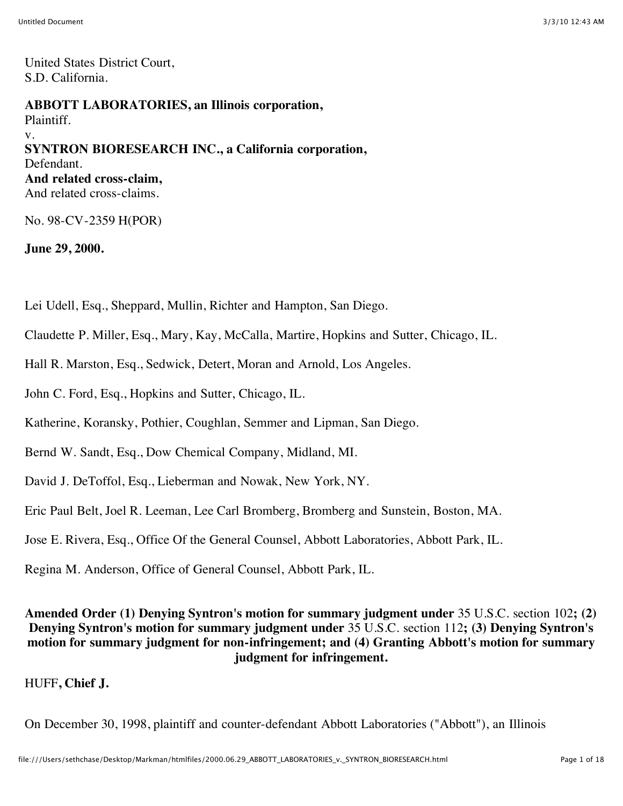United States District Court, S.D. California.

#### **ABBOTT LABORATORIES, an Illinois corporation,**

Plaintiff. v. **SYNTRON BIORESEARCH INC., a California corporation,** Defendant. **And related cross-claim,** And related cross-claims.

No. 98-CV-2359 H(POR)

**June 29, 2000.**

Lei Udell, Esq., Sheppard, Mullin, Richter and Hampton, San Diego.

Claudette P. Miller, Esq., Mary, Kay, McCalla, Martire, Hopkins and Sutter, Chicago, IL.

Hall R. Marston, Esq., Sedwick, Detert, Moran and Arnold, Los Angeles.

John C. Ford, Esq., Hopkins and Sutter, Chicago, IL.

Katherine, Koransky, Pothier, Coughlan, Semmer and Lipman, San Diego.

Bernd W. Sandt, Esq., Dow Chemical Company, Midland, MI.

David J. DeToffol, Esq., Lieberman and Nowak, New York, NY.

Eric Paul Belt, Joel R. Leeman, Lee Carl Bromberg, Bromberg and Sunstein, Boston, MA.

Jose E. Rivera, Esq., Office Of the General Counsel, Abbott Laboratories, Abbott Park, IL.

Regina M. Anderson, Office of General Counsel, Abbott Park, IL.

**Amended Order (1) Denying Syntron's motion for summary judgment under** 35 U.S.C. section 102**; (2) Denying Syntron's motion for summary judgment under** 35 U.S.C. section 112**; (3) Denying Syntron's motion for summary judgment for non-infringement; and (4) Granting Abbott's motion for summary judgment for infringement.**

HUFF**, Chief J.**

On December 30, 1998, plaintiff and counter-defendant Abbott Laboratories ("Abbott"), an Illinois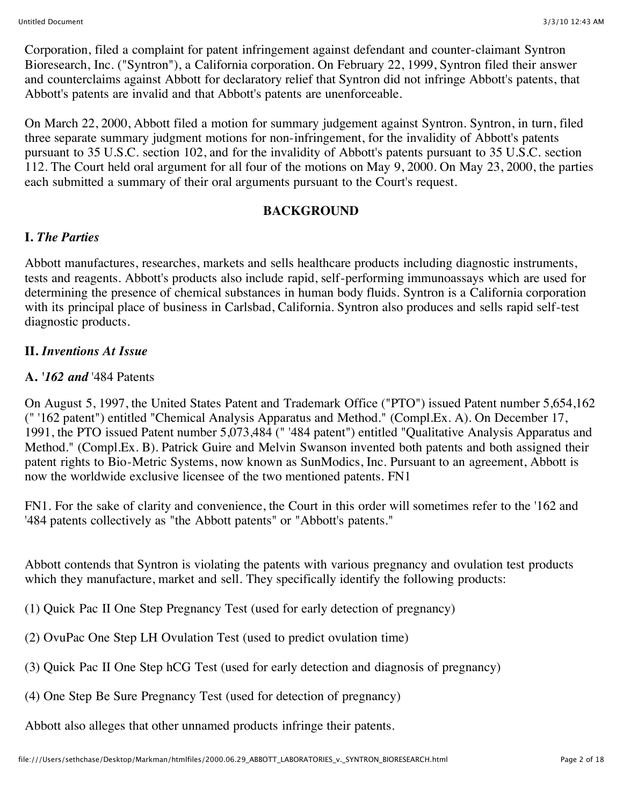Corporation, filed a complaint for patent infringement against defendant and counter-claimant Syntron Bioresearch, Inc. ("Syntron"), a California corporation. On February 22, 1999, Syntron filed their answer and counterclaims against Abbott for declaratory relief that Syntron did not infringe Abbott's patents, that Abbott's patents are invalid and that Abbott's patents are unenforceable.

On March 22, 2000, Abbott filed a motion for summary judgement against Syntron. Syntron, in turn, filed three separate summary judgment motions for non-infringement, for the invalidity of Abbott's patents pursuant to 35 U.S.C. section 102, and for the invalidity of Abbott's patents pursuant to 35 U.S.C. section 112. The Court held oral argument for all four of the motions on May 9, 2000. On May 23, 2000, the parties each submitted a summary of their oral arguments pursuant to the Court's request.

### **BACKGROUND**

## **I.** *The Parties*

Abbott manufactures, researches, markets and sells healthcare products including diagnostic instruments, tests and reagents. Abbott's products also include rapid, self-performing immunoassays which are used for determining the presence of chemical substances in human body fluids. Syntron is a California corporation with its principal place of business in Carlsbad, California. Syntron also produces and sells rapid self-test diagnostic products.

## **II.** *Inventions At Issue*

## **A.** *'162 and* '484 Patents

On August 5, 1997, the United States Patent and Trademark Office ("PTO") issued Patent number 5,654,162 (" '162 patent") entitled "Chemical Analysis Apparatus and Method." (Compl.Ex. A). On December 17, 1991, the PTO issued Patent number 5,073,484 (" '484 patent") entitled "Qualitative Analysis Apparatus and Method." (Compl.Ex. B). Patrick Guire and Melvin Swanson invented both patents and both assigned their patent rights to Bio-Metric Systems, now known as SunModics, Inc. Pursuant to an agreement, Abbott is now the worldwide exclusive licensee of the two mentioned patents. FN1

FN1. For the sake of clarity and convenience, the Court in this order will sometimes refer to the '162 and '484 patents collectively as "the Abbott patents" or "Abbott's patents."

Abbott contends that Syntron is violating the patents with various pregnancy and ovulation test products which they manufacture, market and sell. They specifically identify the following products:

(1) Quick Pac II One Step Pregnancy Test (used for early detection of pregnancy)

(2) OvuPac One Step LH Ovulation Test (used to predict ovulation time)

(3) Quick Pac II One Step hCG Test (used for early detection and diagnosis of pregnancy)

(4) One Step Be Sure Pregnancy Test (used for detection of pregnancy)

Abbott also alleges that other unnamed products infringe their patents.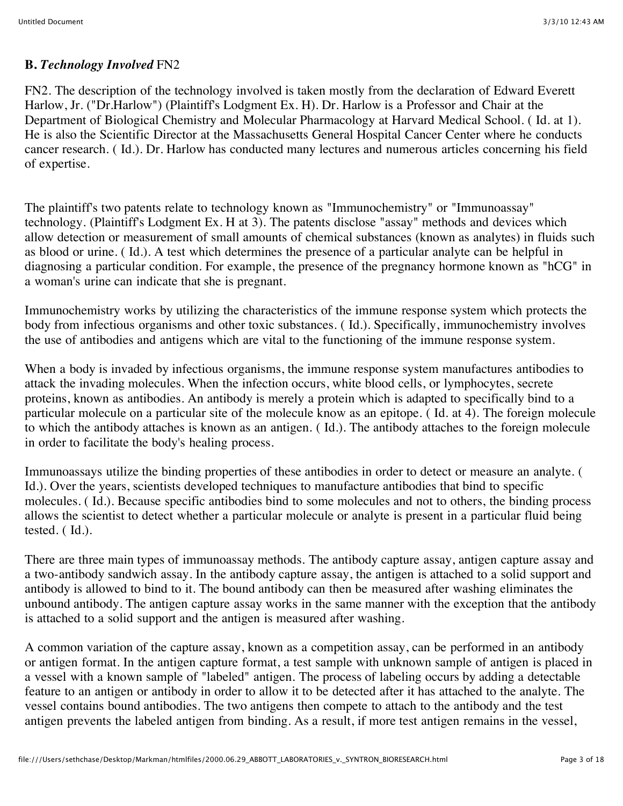### **B.** *Technology Involved* FN2

FN2. The description of the technology involved is taken mostly from the declaration of Edward Everett Harlow, Jr. ("Dr.Harlow") (Plaintiff's Lodgment Ex. H). Dr. Harlow is a Professor and Chair at the Department of Biological Chemistry and Molecular Pharmacology at Harvard Medical School. ( Id. at 1). He is also the Scientific Director at the Massachusetts General Hospital Cancer Center where he conducts cancer research. ( Id.). Dr. Harlow has conducted many lectures and numerous articles concerning his field of expertise.

The plaintiff's two patents relate to technology known as "Immunochemistry" or "Immunoassay" technology. (Plaintiff's Lodgment Ex. H at 3). The patents disclose "assay" methods and devices which allow detection or measurement of small amounts of chemical substances (known as analytes) in fluids such as blood or urine. ( Id.). A test which determines the presence of a particular analyte can be helpful in diagnosing a particular condition. For example, the presence of the pregnancy hormone known as "hCG" in a woman's urine can indicate that she is pregnant.

Immunochemistry works by utilizing the characteristics of the immune response system which protects the body from infectious organisms and other toxic substances. ( Id.). Specifically, immunochemistry involves the use of antibodies and antigens which are vital to the functioning of the immune response system.

When a body is invaded by infectious organisms, the immune response system manufactures antibodies to attack the invading molecules. When the infection occurs, white blood cells, or lymphocytes, secrete proteins, known as antibodies. An antibody is merely a protein which is adapted to specifically bind to a particular molecule on a particular site of the molecule know as an epitope. ( Id. at 4). The foreign molecule to which the antibody attaches is known as an antigen. ( Id.). The antibody attaches to the foreign molecule in order to facilitate the body's healing process.

Immunoassays utilize the binding properties of these antibodies in order to detect or measure an analyte. ( Id.). Over the years, scientists developed techniques to manufacture antibodies that bind to specific molecules. ( Id.). Because specific antibodies bind to some molecules and not to others, the binding process allows the scientist to detect whether a particular molecule or analyte is present in a particular fluid being tested. ( Id.).

There are three main types of immunoassay methods. The antibody capture assay, antigen capture assay and a two-antibody sandwich assay. In the antibody capture assay, the antigen is attached to a solid support and antibody is allowed to bind to it. The bound antibody can then be measured after washing eliminates the unbound antibody. The antigen capture assay works in the same manner with the exception that the antibody is attached to a solid support and the antigen is measured after washing.

A common variation of the capture assay, known as a competition assay, can be performed in an antibody or antigen format. In the antigen capture format, a test sample with unknown sample of antigen is placed in a vessel with a known sample of "labeled" antigen. The process of labeling occurs by adding a detectable feature to an antigen or antibody in order to allow it to be detected after it has attached to the analyte. The vessel contains bound antibodies. The two antigens then compete to attach to the antibody and the test antigen prevents the labeled antigen from binding. As a result, if more test antigen remains in the vessel,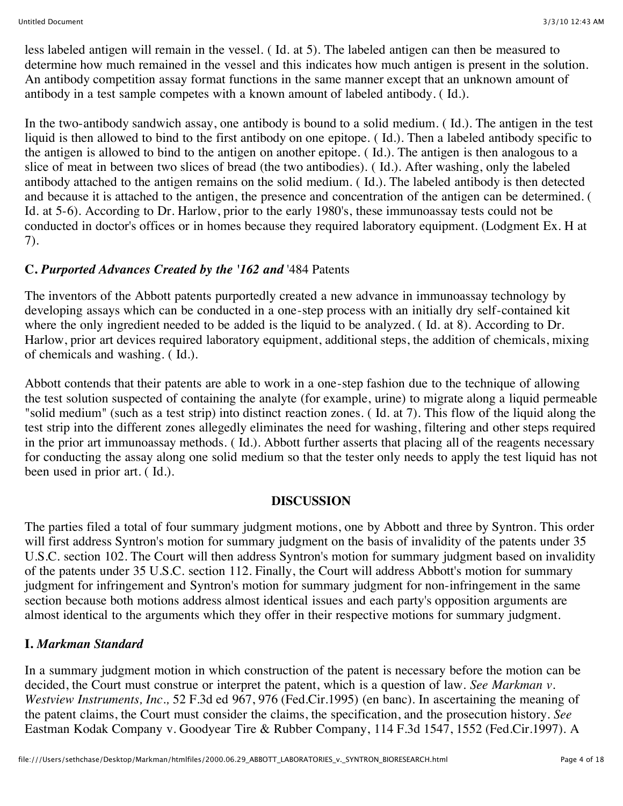less labeled antigen will remain in the vessel. ( Id. at 5). The labeled antigen can then be measured to determine how much remained in the vessel and this indicates how much antigen is present in the solution. An antibody competition assay format functions in the same manner except that an unknown amount of antibody in a test sample competes with a known amount of labeled antibody. ( Id.).

In the two-antibody sandwich assay, one antibody is bound to a solid medium. ( Id.). The antigen in the test liquid is then allowed to bind to the first antibody on one epitope. ( Id.). Then a labeled antibody specific to the antigen is allowed to bind to the antigen on another epitope. ( Id.). The antigen is then analogous to a slice of meat in between two slices of bread (the two antibodies). ( Id.). After washing, only the labeled antibody attached to the antigen remains on the solid medium. ( Id.). The labeled antibody is then detected and because it is attached to the antigen, the presence and concentration of the antigen can be determined. ( Id. at 5-6). According to Dr. Harlow, prior to the early 1980's, these immunoassay tests could not be conducted in doctor's offices or in homes because they required laboratory equipment. (Lodgment Ex. H at 7).

## **C.** *Purported Advances Created by the '162 and* '484 Patents

The inventors of the Abbott patents purportedly created a new advance in immunoassay technology by developing assays which can be conducted in a one-step process with an initially dry self-contained kit where the only ingredient needed to be added is the liquid to be analyzed. ( Id. at 8). According to Dr. Harlow, prior art devices required laboratory equipment, additional steps, the addition of chemicals, mixing of chemicals and washing. ( Id.).

Abbott contends that their patents are able to work in a one-step fashion due to the technique of allowing the test solution suspected of containing the analyte (for example, urine) to migrate along a liquid permeable "solid medium" (such as a test strip) into distinct reaction zones. ( Id. at 7). This flow of the liquid along the test strip into the different zones allegedly eliminates the need for washing, filtering and other steps required in the prior art immunoassay methods. ( Id.). Abbott further asserts that placing all of the reagents necessary for conducting the assay along one solid medium so that the tester only needs to apply the test liquid has not been used in prior art. ( Id.).

### **DISCUSSION**

The parties filed a total of four summary judgment motions, one by Abbott and three by Syntron. This order will first address Syntron's motion for summary judgment on the basis of invalidity of the patents under 35 U.S.C. section 102. The Court will then address Syntron's motion for summary judgment based on invalidity of the patents under 35 U.S.C. section 112. Finally, the Court will address Abbott's motion for summary judgment for infringement and Syntron's motion for summary judgment for non-infringement in the same section because both motions address almost identical issues and each party's opposition arguments are almost identical to the arguments which they offer in their respective motions for summary judgment.

### **I.** *Markman Standard*

In a summary judgment motion in which construction of the patent is necessary before the motion can be decided, the Court must construe or interpret the patent, which is a question of law. *See Markman v. Westview Instruments, Inc.,* 52 F.3d ed 967, 976 (Fed.Cir.1995) (en banc). In ascertaining the meaning of the patent claims, the Court must consider the claims, the specification, and the prosecution history. *See* Eastman Kodak Company v. Goodyear Tire & Rubber Company, 114 F.3d 1547, 1552 (Fed.Cir.1997). A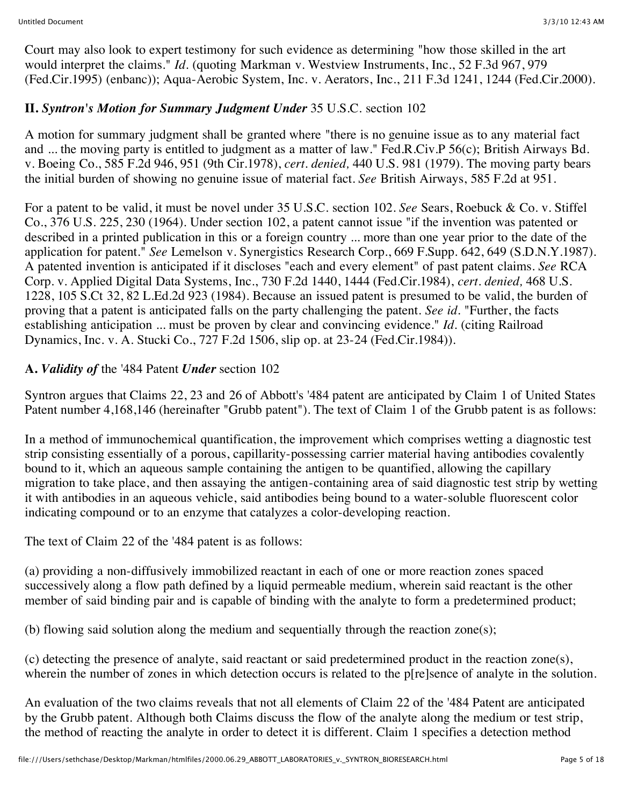Court may also look to expert testimony for such evidence as determining "how those skilled in the art would interpret the claims." *Id.* (quoting Markman v. Westview Instruments, Inc., 52 F.3d 967, 979 (Fed.Cir.1995) (enbanc)); Aqua-Aerobic System, Inc. v. Aerators, Inc., 211 F.3d 1241, 1244 (Fed.Cir.2000).

## **II.** *Syntron's Motion for Summary Judgment Under* 35 U.S.C. section 102

A motion for summary judgment shall be granted where "there is no genuine issue as to any material fact and ... the moving party is entitled to judgment as a matter of law." Fed.R.Civ.P 56(c); British Airways Bd. v. Boeing Co., 585 F.2d 946, 951 (9th Cir.1978), *cert. denied,* 440 U.S. 981 (1979). The moving party bears the initial burden of showing no genuine issue of material fact. *See* British Airways, 585 F.2d at 951.

For a patent to be valid, it must be novel under 35 U.S.C. section 102. *See* Sears, Roebuck & Co. v. Stiffel Co., 376 U.S. 225, 230 (1964). Under section 102, a patent cannot issue "if the invention was patented or described in a printed publication in this or a foreign country ... more than one year prior to the date of the application for patent." *See* Lemelson v. Synergistics Research Corp., 669 F.Supp. 642, 649 (S.D.N.Y.1987). A patented invention is anticipated if it discloses "each and every element" of past patent claims. *See* RCA Corp. v. Applied Digital Data Systems, Inc., 730 F.2d 1440, 1444 (Fed.Cir.1984), *cert. denied,* 468 U.S. 1228, 105 S.Ct 32, 82 L.Ed.2d 923 (1984). Because an issued patent is presumed to be valid, the burden of proving that a patent is anticipated falls on the party challenging the patent. *See id.* "Further, the facts establishing anticipation ... must be proven by clear and convincing evidence." *Id.* (citing Railroad Dynamics, Inc. v. A. Stucki Co., 727 F.2d 1506, slip op. at 23-24 (Fed.Cir.1984)).

## **A.** *Validity of* the '484 Patent *Under* section 102

Syntron argues that Claims 22, 23 and 26 of Abbott's '484 patent are anticipated by Claim 1 of United States Patent number 4,168,146 (hereinafter "Grubb patent"). The text of Claim 1 of the Grubb patent is as follows:

In a method of immunochemical quantification, the improvement which comprises wetting a diagnostic test strip consisting essentially of a porous, capillarity-possessing carrier material having antibodies covalently bound to it, which an aqueous sample containing the antigen to be quantified, allowing the capillary migration to take place, and then assaying the antigen-containing area of said diagnostic test strip by wetting it with antibodies in an aqueous vehicle, said antibodies being bound to a water-soluble fluorescent color indicating compound or to an enzyme that catalyzes a color-developing reaction.

The text of Claim 22 of the '484 patent is as follows:

(a) providing a non-diffusively immobilized reactant in each of one or more reaction zones spaced successively along a flow path defined by a liquid permeable medium, wherein said reactant is the other member of said binding pair and is capable of binding with the analyte to form a predetermined product;

(b) flowing said solution along the medium and sequentially through the reaction zone(s);

(c) detecting the presence of analyte, said reactant or said predetermined product in the reaction zone(s), wherein the number of zones in which detection occurs is related to the p[re]sence of analyte in the solution.

An evaluation of the two claims reveals that not all elements of Claim 22 of the '484 Patent are anticipated by the Grubb patent. Although both Claims discuss the flow of the analyte along the medium or test strip, the method of reacting the analyte in order to detect it is different. Claim 1 specifies a detection method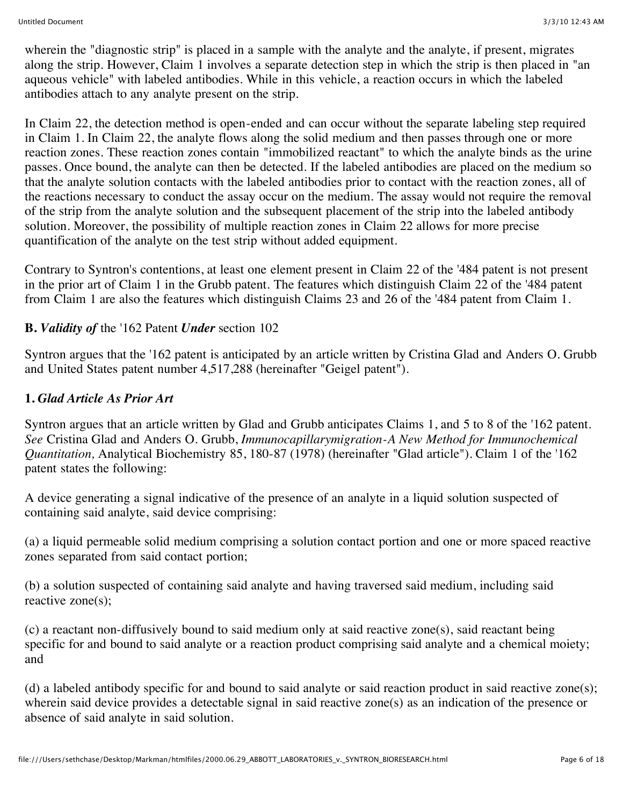wherein the "diagnostic strip" is placed in a sample with the analyte and the analyte, if present, migrates along the strip. However, Claim 1 involves a separate detection step in which the strip is then placed in "an aqueous vehicle" with labeled antibodies. While in this vehicle, a reaction occurs in which the labeled antibodies attach to any analyte present on the strip.

In Claim 22, the detection method is open-ended and can occur without the separate labeling step required in Claim 1. In Claim 22, the analyte flows along the solid medium and then passes through one or more reaction zones. These reaction zones contain "immobilized reactant" to which the analyte binds as the urine passes. Once bound, the analyte can then be detected. If the labeled antibodies are placed on the medium so that the analyte solution contacts with the labeled antibodies prior to contact with the reaction zones, all of the reactions necessary to conduct the assay occur on the medium. The assay would not require the removal of the strip from the analyte solution and the subsequent placement of the strip into the labeled antibody solution. Moreover, the possibility of multiple reaction zones in Claim 22 allows for more precise quantification of the analyte on the test strip without added equipment.

Contrary to Syntron's contentions, at least one element present in Claim 22 of the '484 patent is not present in the prior art of Claim 1 in the Grubb patent. The features which distinguish Claim 22 of the '484 patent from Claim 1 are also the features which distinguish Claims 23 and 26 of the '484 patent from Claim 1.

## **B.** *Validity of* the '162 Patent *Under* section 102

Syntron argues that the '162 patent is anticipated by an article written by Cristina Glad and Anders O. Grubb and United States patent number 4,517,288 (hereinafter "Geigel patent").

### **1.** *Glad Article As Prior Art*

Syntron argues that an article written by Glad and Grubb anticipates Claims 1, and 5 to 8 of the '162 patent. *See* Cristina Glad and Anders O. Grubb, *Immunocapillarymigration-A New Method for Immunochemical Quantitation,* Analytical Biochemistry 85, 180-87 (1978) (hereinafter "Glad article"). Claim 1 of the '162 patent states the following:

A device generating a signal indicative of the presence of an analyte in a liquid solution suspected of containing said analyte, said device comprising:

(a) a liquid permeable solid medium comprising a solution contact portion and one or more spaced reactive zones separated from said contact portion;

(b) a solution suspected of containing said analyte and having traversed said medium, including said reactive zone(s);

(c) a reactant non-diffusively bound to said medium only at said reactive zone(s), said reactant being specific for and bound to said analyte or a reaction product comprising said analyte and a chemical moiety; and

(d) a labeled antibody specific for and bound to said analyte or said reaction product in said reactive zone(s); wherein said device provides a detectable signal in said reactive zone(s) as an indication of the presence or absence of said analyte in said solution.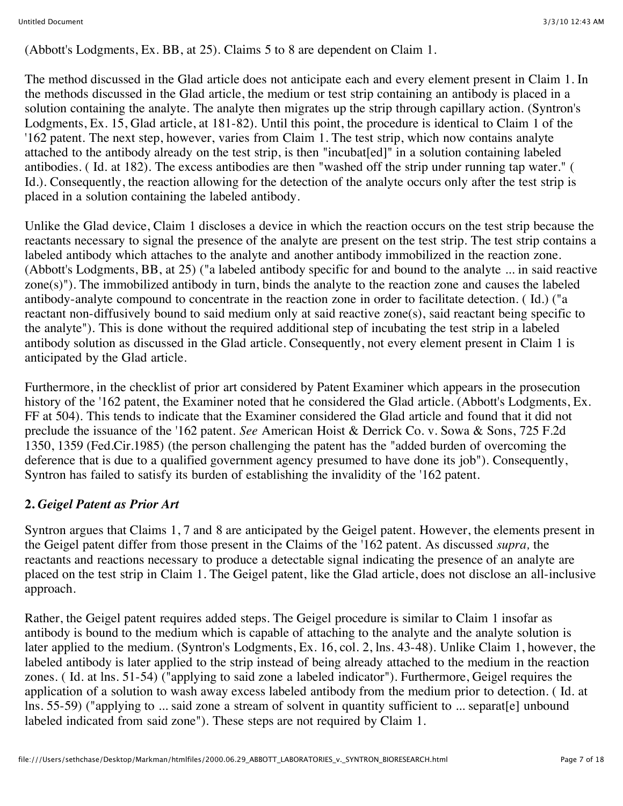(Abbott's Lodgments, Ex. BB, at 25). Claims 5 to 8 are dependent on Claim 1.

The method discussed in the Glad article does not anticipate each and every element present in Claim 1. In the methods discussed in the Glad article, the medium or test strip containing an antibody is placed in a solution containing the analyte. The analyte then migrates up the strip through capillary action. (Syntron's Lodgments, Ex. 15, Glad article, at 181-82). Until this point, the procedure is identical to Claim 1 of the '162 patent. The next step, however, varies from Claim 1. The test strip, which now contains analyte attached to the antibody already on the test strip, is then "incubat[ed]" in a solution containing labeled antibodies. ( Id. at 182). The excess antibodies are then "washed off the strip under running tap water." ( Id.). Consequently, the reaction allowing for the detection of the analyte occurs only after the test strip is placed in a solution containing the labeled antibody.

Unlike the Glad device, Claim 1 discloses a device in which the reaction occurs on the test strip because the reactants necessary to signal the presence of the analyte are present on the test strip. The test strip contains a labeled antibody which attaches to the analyte and another antibody immobilized in the reaction zone. (Abbott's Lodgments, BB, at 25) ("a labeled antibody specific for and bound to the analyte ... in said reactive zone(s)"). The immobilized antibody in turn, binds the analyte to the reaction zone and causes the labeled antibody-analyte compound to concentrate in the reaction zone in order to facilitate detection. ( Id.) ("a reactant non-diffusively bound to said medium only at said reactive zone(s), said reactant being specific to the analyte"). This is done without the required additional step of incubating the test strip in a labeled antibody solution as discussed in the Glad article. Consequently, not every element present in Claim 1 is anticipated by the Glad article.

Furthermore, in the checklist of prior art considered by Patent Examiner which appears in the prosecution history of the '162 patent, the Examiner noted that he considered the Glad article. (Abbott's Lodgments, Ex. FF at 504). This tends to indicate that the Examiner considered the Glad article and found that it did not preclude the issuance of the '162 patent. *See* American Hoist & Derrick Co. v. Sowa & Sons, 725 F.2d 1350, 1359 (Fed.Cir.1985) (the person challenging the patent has the "added burden of overcoming the deference that is due to a qualified government agency presumed to have done its job"). Consequently, Syntron has failed to satisfy its burden of establishing the invalidity of the '162 patent.

## **2.** *Geigel Patent as Prior Art*

Syntron argues that Claims 1, 7 and 8 are anticipated by the Geigel patent. However, the elements present in the Geigel patent differ from those present in the Claims of the '162 patent. As discussed *supra,* the reactants and reactions necessary to produce a detectable signal indicating the presence of an analyte are placed on the test strip in Claim 1. The Geigel patent, like the Glad article, does not disclose an all-inclusive approach.

Rather, the Geigel patent requires added steps. The Geigel procedure is similar to Claim 1 insofar as antibody is bound to the medium which is capable of attaching to the analyte and the analyte solution is later applied to the medium. (Syntron's Lodgments, Ex. 16, col. 2, lns. 43-48). Unlike Claim 1, however, the labeled antibody is later applied to the strip instead of being already attached to the medium in the reaction zones. ( Id. at lns. 51-54) ("applying to said zone a labeled indicator"). Furthermore, Geigel requires the application of a solution to wash away excess labeled antibody from the medium prior to detection. ( Id. at lns. 55-59) ("applying to ... said zone a stream of solvent in quantity sufficient to ... separat[e] unbound labeled indicated from said zone"). These steps are not required by Claim 1.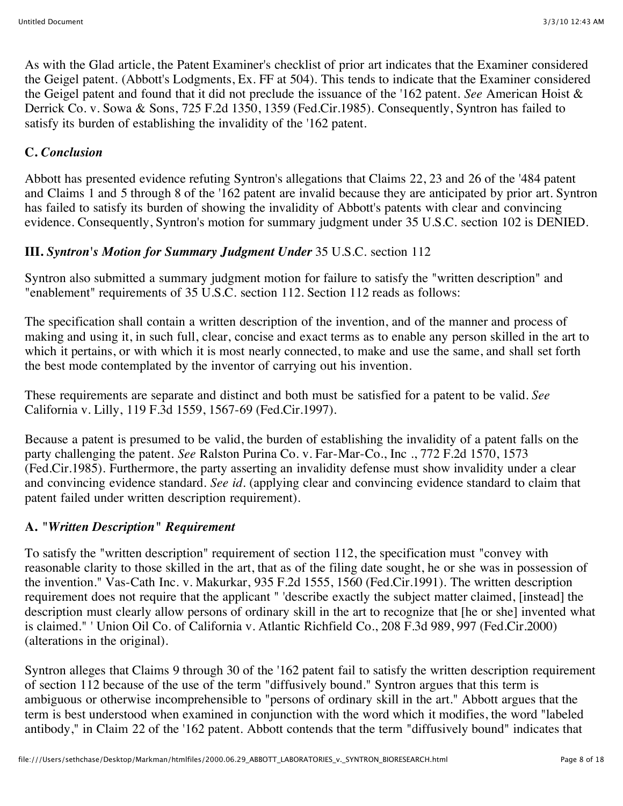As with the Glad article, the Patent Examiner's checklist of prior art indicates that the Examiner considered the Geigel patent. (Abbott's Lodgments, Ex. FF at 504). This tends to indicate that the Examiner considered the Geigel patent and found that it did not preclude the issuance of the '162 patent. *See* American Hoist & Derrick Co. v. Sowa & Sons, 725 F.2d 1350, 1359 (Fed.Cir.1985). Consequently, Syntron has failed to satisfy its burden of establishing the invalidity of the '162 patent.

# **C.** *Conclusion*

Abbott has presented evidence refuting Syntron's allegations that Claims 22, 23 and 26 of the '484 patent and Claims 1 and 5 through 8 of the '162 patent are invalid because they are anticipated by prior art. Syntron has failed to satisfy its burden of showing the invalidity of Abbott's patents with clear and convincing evidence. Consequently, Syntron's motion for summary judgment under 35 U.S.C. section 102 is DENIED.

## **III.** *Syntron's Motion for Summary Judgment Under* 35 U.S.C. section 112

Syntron also submitted a summary judgment motion for failure to satisfy the "written description" and "enablement" requirements of 35 U.S.C. section 112. Section 112 reads as follows:

The specification shall contain a written description of the invention, and of the manner and process of making and using it, in such full, clear, concise and exact terms as to enable any person skilled in the art to which it pertains, or with which it is most nearly connected, to make and use the same, and shall set forth the best mode contemplated by the inventor of carrying out his invention.

These requirements are separate and distinct and both must be satisfied for a patent to be valid. *See* California v. Lilly, 119 F.3d 1559, 1567-69 (Fed.Cir.1997).

Because a patent is presumed to be valid, the burden of establishing the invalidity of a patent falls on the party challenging the patent. *See* Ralston Purina Co. v. Far-Mar-Co., Inc ., 772 F.2d 1570, 1573 (Fed.Cir.1985). Furthermore, the party asserting an invalidity defense must show invalidity under a clear and convincing evidence standard. *See id.* (applying clear and convincing evidence standard to claim that patent failed under written description requirement).

# **A.** *"Written Description" Requirement*

To satisfy the "written description" requirement of section 112, the specification must "convey with reasonable clarity to those skilled in the art, that as of the filing date sought, he or she was in possession of the invention." Vas-Cath Inc. v. Makurkar, 935 F.2d 1555, 1560 (Fed.Cir.1991). The written description requirement does not require that the applicant " 'describe exactly the subject matter claimed, [instead] the description must clearly allow persons of ordinary skill in the art to recognize that [he or she] invented what is claimed." ' Union Oil Co. of California v. Atlantic Richfield Co., 208 F.3d 989, 997 (Fed.Cir.2000) (alterations in the original).

Syntron alleges that Claims 9 through 30 of the '162 patent fail to satisfy the written description requirement of section 112 because of the use of the term "diffusively bound." Syntron argues that this term is ambiguous or otherwise incomprehensible to "persons of ordinary skill in the art." Abbott argues that the term is best understood when examined in conjunction with the word which it modifies, the word "labeled antibody," in Claim 22 of the '162 patent. Abbott contends that the term "diffusively bound" indicates that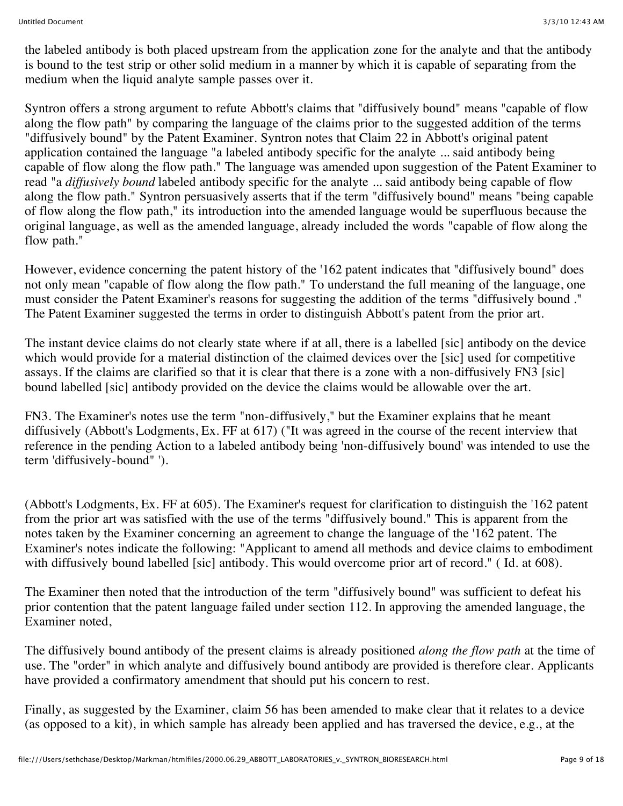the labeled antibody is both placed upstream from the application zone for the analyte and that the antibody is bound to the test strip or other solid medium in a manner by which it is capable of separating from the medium when the liquid analyte sample passes over it.

Syntron offers a strong argument to refute Abbott's claims that "diffusively bound" means "capable of flow along the flow path" by comparing the language of the claims prior to the suggested addition of the terms "diffusively bound" by the Patent Examiner. Syntron notes that Claim 22 in Abbott's original patent application contained the language "a labeled antibody specific for the analyte ... said antibody being capable of flow along the flow path." The language was amended upon suggestion of the Patent Examiner to read "a *diffusively bound* labeled antibody specific for the analyte ... said antibody being capable of flow along the flow path." Syntron persuasively asserts that if the term "diffusively bound" means "being capable of flow along the flow path," its introduction into the amended language would be superfluous because the original language, as well as the amended language, already included the words "capable of flow along the flow path."

However, evidence concerning the patent history of the '162 patent indicates that "diffusively bound" does not only mean "capable of flow along the flow path." To understand the full meaning of the language, one must consider the Patent Examiner's reasons for suggesting the addition of the terms "diffusively bound ." The Patent Examiner suggested the terms in order to distinguish Abbott's patent from the prior art.

The instant device claims do not clearly state where if at all, there is a labelled [sic] antibody on the device which would provide for a material distinction of the claimed devices over the [sic] used for competitive assays. If the claims are clarified so that it is clear that there is a zone with a non-diffusively FN3 [sic] bound labelled [sic] antibody provided on the device the claims would be allowable over the art.

FN3. The Examiner's notes use the term "non-diffusively," but the Examiner explains that he meant diffusively (Abbott's Lodgments, Ex. FF at 617) ("It was agreed in the course of the recent interview that reference in the pending Action to a labeled antibody being 'non-diffusively bound' was intended to use the term 'diffusively-bound" ').

(Abbott's Lodgments, Ex. FF at 605). The Examiner's request for clarification to distinguish the '162 patent from the prior art was satisfied with the use of the terms "diffusively bound." This is apparent from the notes taken by the Examiner concerning an agreement to change the language of the '162 patent. The Examiner's notes indicate the following: "Applicant to amend all methods and device claims to embodiment with diffusively bound labelled [sic] antibody. This would overcome prior art of record." (Id. at 608).

The Examiner then noted that the introduction of the term "diffusively bound" was sufficient to defeat his prior contention that the patent language failed under section 112. In approving the amended language, the Examiner noted,

The diffusively bound antibody of the present claims is already positioned *along the flow path* at the time of use. The "order" in which analyte and diffusively bound antibody are provided is therefore clear. Applicants have provided a confirmatory amendment that should put his concern to rest.

Finally, as suggested by the Examiner, claim 56 has been amended to make clear that it relates to a device (as opposed to a kit), in which sample has already been applied and has traversed the device, e.g., at the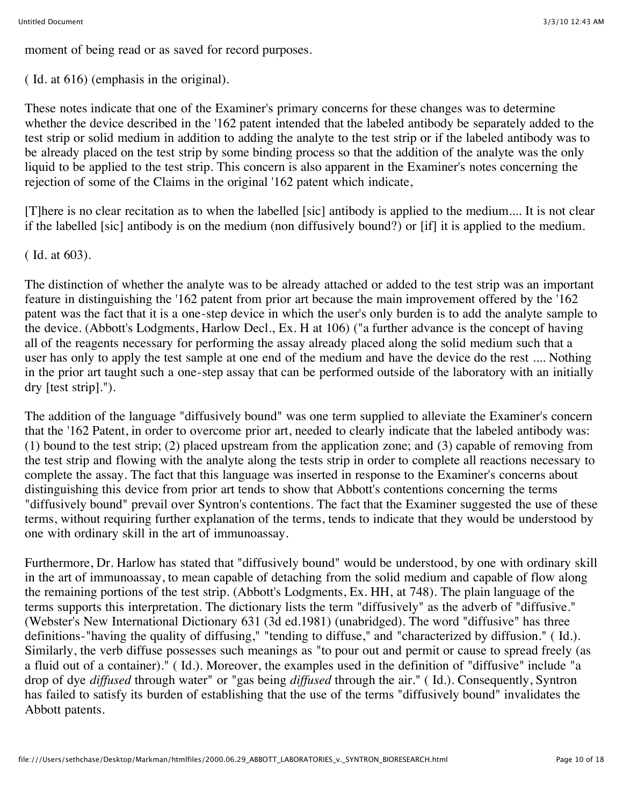moment of being read or as saved for record purposes.

( Id. at 616) (emphasis in the original).

These notes indicate that one of the Examiner's primary concerns for these changes was to determine whether the device described in the '162 patent intended that the labeled antibody be separately added to the test strip or solid medium in addition to adding the analyte to the test strip or if the labeled antibody was to be already placed on the test strip by some binding process so that the addition of the analyte was the only liquid to be applied to the test strip. This concern is also apparent in the Examiner's notes concerning the rejection of some of the Claims in the original '162 patent which indicate,

[T]here is no clear recitation as to when the labelled [sic] antibody is applied to the medium.... It is not clear if the labelled [sic] antibody is on the medium (non diffusively bound?) or [if] it is applied to the medium.

( Id. at 603).

The distinction of whether the analyte was to be already attached or added to the test strip was an important feature in distinguishing the '162 patent from prior art because the main improvement offered by the '162 patent was the fact that it is a one-step device in which the user's only burden is to add the analyte sample to the device. (Abbott's Lodgments, Harlow Decl., Ex. H at 106) ("a further advance is the concept of having all of the reagents necessary for performing the assay already placed along the solid medium such that a user has only to apply the test sample at one end of the medium and have the device do the rest .... Nothing in the prior art taught such a one-step assay that can be performed outside of the laboratory with an initially dry [test strip].").

The addition of the language "diffusively bound" was one term supplied to alleviate the Examiner's concern that the '162 Patent, in order to overcome prior art, needed to clearly indicate that the labeled antibody was: (1) bound to the test strip; (2) placed upstream from the application zone; and (3) capable of removing from the test strip and flowing with the analyte along the tests strip in order to complete all reactions necessary to complete the assay. The fact that this language was inserted in response to the Examiner's concerns about distinguishing this device from prior art tends to show that Abbott's contentions concerning the terms "diffusively bound" prevail over Syntron's contentions. The fact that the Examiner suggested the use of these terms, without requiring further explanation of the terms, tends to indicate that they would be understood by one with ordinary skill in the art of immunoassay.

Furthermore, Dr. Harlow has stated that "diffusively bound" would be understood, by one with ordinary skill in the art of immunoassay, to mean capable of detaching from the solid medium and capable of flow along the remaining portions of the test strip. (Abbott's Lodgments, Ex. HH, at 748). The plain language of the terms supports this interpretation. The dictionary lists the term "diffusively" as the adverb of "diffusive." (Webster's New International Dictionary 631 (3d ed.1981) (unabridged). The word "diffusive" has three definitions-"having the quality of diffusing," "tending to diffuse," and "characterized by diffusion." ( Id.). Similarly, the verb diffuse possesses such meanings as "to pour out and permit or cause to spread freely (as a fluid out of a container)." ( Id.). Moreover, the examples used in the definition of "diffusive" include "a drop of dye *diffused* through water" or "gas being *diffused* through the air." ( Id.). Consequently, Syntron has failed to satisfy its burden of establishing that the use of the terms "diffusively bound" invalidates the Abbott patents.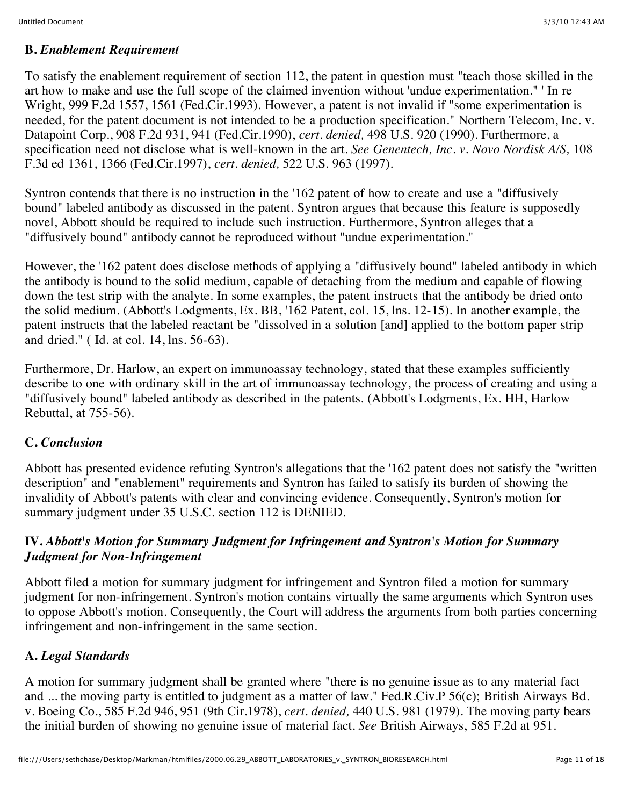### **B.** *Enablement Requirement*

To satisfy the enablement requirement of section 112, the patent in question must "teach those skilled in the art how to make and use the full scope of the claimed invention without 'undue experimentation." ' In re Wright, 999 F.2d 1557, 1561 (Fed.Cir.1993). However, a patent is not invalid if "some experimentation is needed, for the patent document is not intended to be a production specification." Northern Telecom, Inc. v. Datapoint Corp., 908 F.2d 931, 941 (Fed.Cir.1990), *cert. denied,* 498 U.S. 920 (1990). Furthermore, a specification need not disclose what is well-known in the art. *See Genentech, Inc. v. Novo Nordisk A/S,* 108 F.3d ed 1361, 1366 (Fed.Cir.1997), *cert. denied,* 522 U.S. 963 (1997).

Syntron contends that there is no instruction in the '162 patent of how to create and use a "diffusively bound" labeled antibody as discussed in the patent. Syntron argues that because this feature is supposedly novel, Abbott should be required to include such instruction. Furthermore, Syntron alleges that a "diffusively bound" antibody cannot be reproduced without "undue experimentation."

However, the '162 patent does disclose methods of applying a "diffusively bound" labeled antibody in which the antibody is bound to the solid medium, capable of detaching from the medium and capable of flowing down the test strip with the analyte. In some examples, the patent instructs that the antibody be dried onto the solid medium. (Abbott's Lodgments, Ex. BB, '162 Patent, col. 15, lns. 12-15). In another example, the patent instructs that the labeled reactant be "dissolved in a solution [and] applied to the bottom paper strip and dried." ( Id. at col. 14, lns. 56-63).

Furthermore, Dr. Harlow, an expert on immunoassay technology, stated that these examples sufficiently describe to one with ordinary skill in the art of immunoassay technology, the process of creating and using a "diffusively bound" labeled antibody as described in the patents. (Abbott's Lodgments, Ex. HH, Harlow Rebuttal, at 755-56).

## **C.** *Conclusion*

Abbott has presented evidence refuting Syntron's allegations that the '162 patent does not satisfy the "written description" and "enablement" requirements and Syntron has failed to satisfy its burden of showing the invalidity of Abbott's patents with clear and convincing evidence. Consequently, Syntron's motion for summary judgment under 35 U.S.C. section 112 is DENIED.

### **IV.** *Abbott's Motion for Summary Judgment for Infringement and Syntron's Motion for Summary Judgment for Non-Infringement*

Abbott filed a motion for summary judgment for infringement and Syntron filed a motion for summary judgment for non-infringement. Syntron's motion contains virtually the same arguments which Syntron uses to oppose Abbott's motion. Consequently, the Court will address the arguments from both parties concerning infringement and non-infringement in the same section.

## **A.** *Legal Standards*

A motion for summary judgment shall be granted where "there is no genuine issue as to any material fact and ... the moving party is entitled to judgment as a matter of law." Fed.R.Civ.P 56(c); British Airways Bd. v. Boeing Co., 585 F.2d 946, 951 (9th Cir.1978), *cert. denied,* 440 U.S. 981 (1979). The moving party bears the initial burden of showing no genuine issue of material fact. *See* British Airways, 585 F.2d at 951.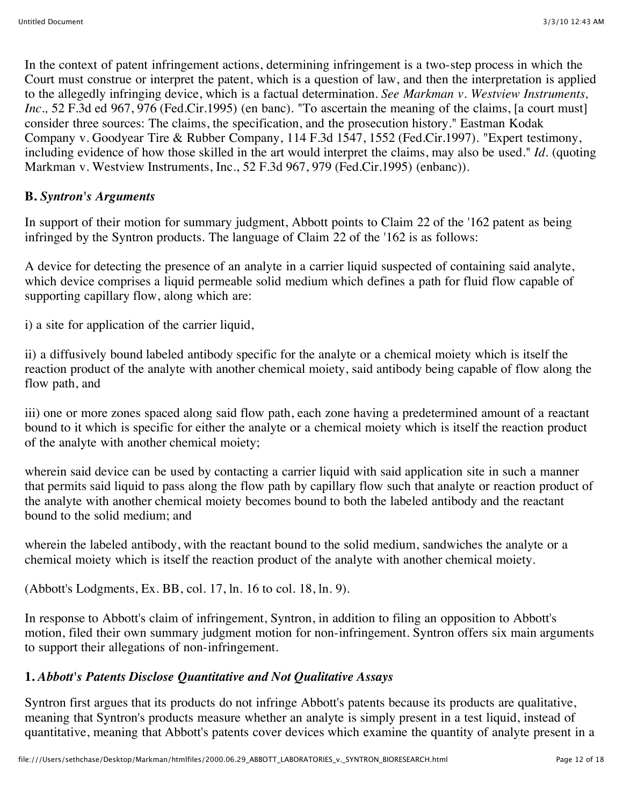In the context of patent infringement actions, determining infringement is a two-step process in which the Court must construe or interpret the patent, which is a question of law, and then the interpretation is applied to the allegedly infringing device, which is a factual determination. *See Markman v. Westview Instruments, Inc.*, 52 F.3d ed 967, 976 (Fed.Cir.1995) (en banc). "To ascertain the meaning of the claims, [a court must] consider three sources: The claims, the specification, and the prosecution history." Eastman Kodak Company v. Goodyear Tire & Rubber Company, 114 F.3d 1547, 1552 (Fed.Cir.1997). "Expert testimony, including evidence of how those skilled in the art would interpret the claims, may also be used." *Id.* (quoting Markman v. Westview Instruments, Inc., 52 F.3d 967, 979 (Fed.Cir.1995) (enbanc)).

## **B.** *Syntron's Arguments*

In support of their motion for summary judgment, Abbott points to Claim 22 of the '162 patent as being infringed by the Syntron products. The language of Claim 22 of the '162 is as follows:

A device for detecting the presence of an analyte in a carrier liquid suspected of containing said analyte, which device comprises a liquid permeable solid medium which defines a path for fluid flow capable of supporting capillary flow, along which are:

i) a site for application of the carrier liquid,

ii) a diffusively bound labeled antibody specific for the analyte or a chemical moiety which is itself the reaction product of the analyte with another chemical moiety, said antibody being capable of flow along the flow path, and

iii) one or more zones spaced along said flow path, each zone having a predetermined amount of a reactant bound to it which is specific for either the analyte or a chemical moiety which is itself the reaction product of the analyte with another chemical moiety;

wherein said device can be used by contacting a carrier liquid with said application site in such a manner that permits said liquid to pass along the flow path by capillary flow such that analyte or reaction product of the analyte with another chemical moiety becomes bound to both the labeled antibody and the reactant bound to the solid medium; and

wherein the labeled antibody, with the reactant bound to the solid medium, sandwiches the analyte or a chemical moiety which is itself the reaction product of the analyte with another chemical moiety.

(Abbott's Lodgments, Ex. BB, col. 17, ln. 16 to col. 18, ln. 9).

In response to Abbott's claim of infringement, Syntron, in addition to filing an opposition to Abbott's motion, filed their own summary judgment motion for non-infringement. Syntron offers six main arguments to support their allegations of non-infringement.

## **1.** *Abbott's Patents Disclose Quantitative and Not Qualitative Assays*

Syntron first argues that its products do not infringe Abbott's patents because its products are qualitative, meaning that Syntron's products measure whether an analyte is simply present in a test liquid, instead of quantitative, meaning that Abbott's patents cover devices which examine the quantity of analyte present in a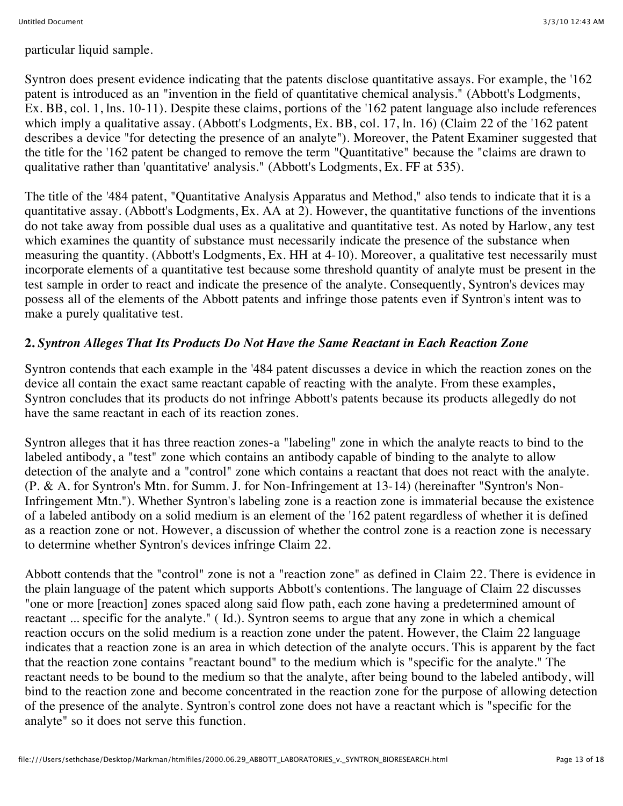particular liquid sample.

Syntron does present evidence indicating that the patents disclose quantitative assays. For example, the '162 patent is introduced as an "invention in the field of quantitative chemical analysis." (Abbott's Lodgments, Ex. BB, col. 1, lns. 10-11). Despite these claims, portions of the '162 patent language also include references which imply a qualitative assay. (Abbott's Lodgments, Ex. BB, col. 17, ln. 16) (Claim 22 of the '162 patent describes a device "for detecting the presence of an analyte"). Moreover, the Patent Examiner suggested that the title for the '162 patent be changed to remove the term "Quantitative" because the "claims are drawn to qualitative rather than 'quantitative' analysis." (Abbott's Lodgments, Ex. FF at 535).

The title of the '484 patent, "Quantitative Analysis Apparatus and Method," also tends to indicate that it is a quantitative assay. (Abbott's Lodgments, Ex. AA at 2). However, the quantitative functions of the inventions do not take away from possible dual uses as a qualitative and quantitative test. As noted by Harlow, any test which examines the quantity of substance must necessarily indicate the presence of the substance when measuring the quantity. (Abbott's Lodgments, Ex. HH at 4-10). Moreover, a qualitative test necessarily must incorporate elements of a quantitative test because some threshold quantity of analyte must be present in the test sample in order to react and indicate the presence of the analyte. Consequently, Syntron's devices may possess all of the elements of the Abbott patents and infringe those patents even if Syntron's intent was to make a purely qualitative test.

## **2.** *Syntron Alleges That Its Products Do Not Have the Same Reactant in Each Reaction Zone*

Syntron contends that each example in the '484 patent discusses a device in which the reaction zones on the device all contain the exact same reactant capable of reacting with the analyte. From these examples, Syntron concludes that its products do not infringe Abbott's patents because its products allegedly do not have the same reactant in each of its reaction zones.

Syntron alleges that it has three reaction zones-a "labeling" zone in which the analyte reacts to bind to the labeled antibody, a "test" zone which contains an antibody capable of binding to the analyte to allow detection of the analyte and a "control" zone which contains a reactant that does not react with the analyte. (P. & A. for Syntron's Mtn. for Summ. J. for Non-Infringement at 13-14) (hereinafter "Syntron's Non-Infringement Mtn."). Whether Syntron's labeling zone is a reaction zone is immaterial because the existence of a labeled antibody on a solid medium is an element of the '162 patent regardless of whether it is defined as a reaction zone or not. However, a discussion of whether the control zone is a reaction zone is necessary to determine whether Syntron's devices infringe Claim 22.

Abbott contends that the "control" zone is not a "reaction zone" as defined in Claim 22. There is evidence in the plain language of the patent which supports Abbott's contentions. The language of Claim 22 discusses "one or more [reaction] zones spaced along said flow path, each zone having a predetermined amount of reactant ... specific for the analyte." ( Id.). Syntron seems to argue that any zone in which a chemical reaction occurs on the solid medium is a reaction zone under the patent. However, the Claim 22 language indicates that a reaction zone is an area in which detection of the analyte occurs. This is apparent by the fact that the reaction zone contains "reactant bound" to the medium which is "specific for the analyte." The reactant needs to be bound to the medium so that the analyte, after being bound to the labeled antibody, will bind to the reaction zone and become concentrated in the reaction zone for the purpose of allowing detection of the presence of the analyte. Syntron's control zone does not have a reactant which is "specific for the analyte" so it does not serve this function.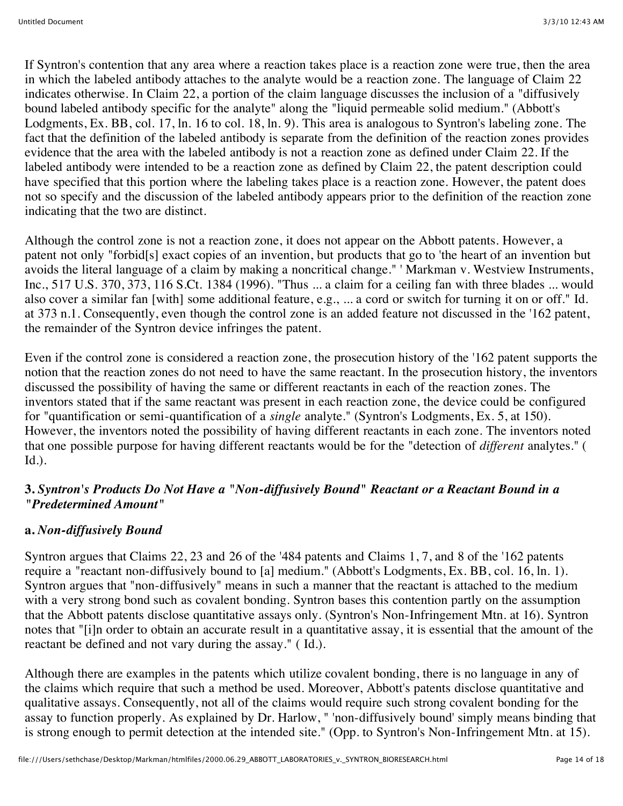If Syntron's contention that any area where a reaction takes place is a reaction zone were true, then the area in which the labeled antibody attaches to the analyte would be a reaction zone. The language of Claim 22 indicates otherwise. In Claim 22, a portion of the claim language discusses the inclusion of a "diffusively bound labeled antibody specific for the analyte" along the "liquid permeable solid medium." (Abbott's Lodgments, Ex. BB, col. 17, ln. 16 to col. 18, ln. 9). This area is analogous to Syntron's labeling zone. The fact that the definition of the labeled antibody is separate from the definition of the reaction zones provides evidence that the area with the labeled antibody is not a reaction zone as defined under Claim 22. If the labeled antibody were intended to be a reaction zone as defined by Claim 22, the patent description could have specified that this portion where the labeling takes place is a reaction zone. However, the patent does not so specify and the discussion of the labeled antibody appears prior to the definition of the reaction zone indicating that the two are distinct.

Although the control zone is not a reaction zone, it does not appear on the Abbott patents. However, a patent not only "forbid[s] exact copies of an invention, but products that go to 'the heart of an invention but avoids the literal language of a claim by making a noncritical change." ' Markman v. Westview Instruments, Inc., 517 U.S. 370, 373, 116 S.Ct. 1384 (1996). "Thus ... a claim for a ceiling fan with three blades ... would also cover a similar fan [with] some additional feature, e.g., ... a cord or switch for turning it on or off." Id. at 373 n.1. Consequently, even though the control zone is an added feature not discussed in the '162 patent, the remainder of the Syntron device infringes the patent.

Even if the control zone is considered a reaction zone, the prosecution history of the '162 patent supports the notion that the reaction zones do not need to have the same reactant. In the prosecution history, the inventors discussed the possibility of having the same or different reactants in each of the reaction zones. The inventors stated that if the same reactant was present in each reaction zone, the device could be configured for "quantification or semi-quantification of a *single* analyte." (Syntron's Lodgments, Ex. 5, at 150). However, the inventors noted the possibility of having different reactants in each zone. The inventors noted that one possible purpose for having different reactants would be for the "detection of *different* analytes." ( Id.).

## **3.** *Syntron's Products Do Not Have a "Non-diffusively Bound" Reactant or a Reactant Bound in a "Predetermined Amount"*

## **a.** *Non-diffusively Bound*

Syntron argues that Claims 22, 23 and 26 of the '484 patents and Claims 1, 7, and 8 of the '162 patents require a "reactant non-diffusively bound to [a] medium." (Abbott's Lodgments, Ex. BB, col. 16, ln. 1). Syntron argues that "non-diffusively" means in such a manner that the reactant is attached to the medium with a very strong bond such as covalent bonding. Syntron bases this contention partly on the assumption that the Abbott patents disclose quantitative assays only. (Syntron's Non-Infringement Mtn. at 16). Syntron notes that "[i]n order to obtain an accurate result in a quantitative assay, it is essential that the amount of the reactant be defined and not vary during the assay." ( Id.).

Although there are examples in the patents which utilize covalent bonding, there is no language in any of the claims which require that such a method be used. Moreover, Abbott's patents disclose quantitative and qualitative assays. Consequently, not all of the claims would require such strong covalent bonding for the assay to function properly. As explained by Dr. Harlow, " 'non-diffusively bound' simply means binding that is strong enough to permit detection at the intended site." (Opp. to Syntron's Non-Infringement Mtn. at 15).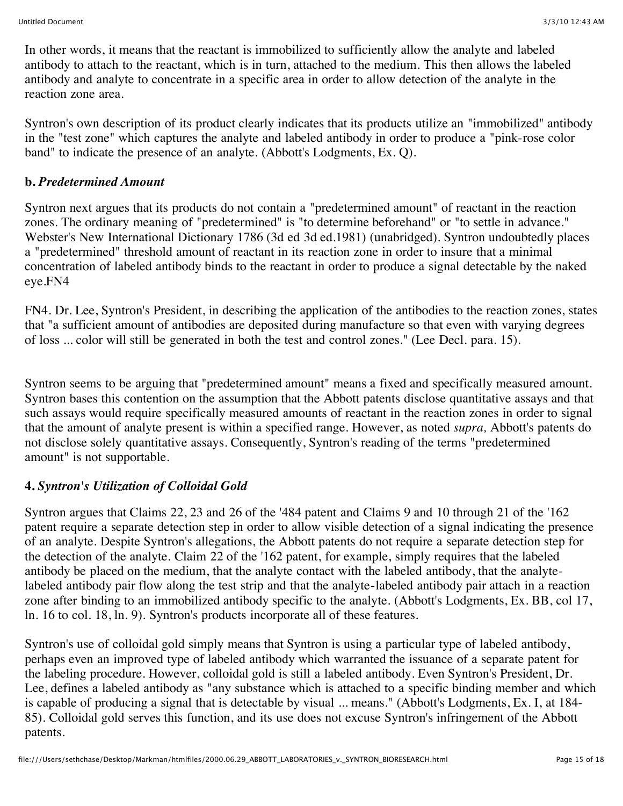In other words, it means that the reactant is immobilized to sufficiently allow the analyte and labeled antibody to attach to the reactant, which is in turn, attached to the medium. This then allows the labeled antibody and analyte to concentrate in a specific area in order to allow detection of the analyte in the reaction zone area.

Syntron's own description of its product clearly indicates that its products utilize an "immobilized" antibody in the "test zone" which captures the analyte and labeled antibody in order to produce a "pink-rose color band" to indicate the presence of an analyte. (Abbott's Lodgments, Ex. Q).

## **b.** *Predetermined Amount*

Syntron next argues that its products do not contain a "predetermined amount" of reactant in the reaction zones. The ordinary meaning of "predetermined" is "to determine beforehand" or "to settle in advance." Webster's New International Dictionary 1786 (3d ed 3d ed.1981) (unabridged). Syntron undoubtedly places a "predetermined" threshold amount of reactant in its reaction zone in order to insure that a minimal concentration of labeled antibody binds to the reactant in order to produce a signal detectable by the naked eye.FN4

FN4. Dr. Lee, Syntron's President, in describing the application of the antibodies to the reaction zones, states that "a sufficient amount of antibodies are deposited during manufacture so that even with varying degrees of loss ... color will still be generated in both the test and control zones." (Lee Decl. para. 15).

Syntron seems to be arguing that "predetermined amount" means a fixed and specifically measured amount. Syntron bases this contention on the assumption that the Abbott patents disclose quantitative assays and that such assays would require specifically measured amounts of reactant in the reaction zones in order to signal that the amount of analyte present is within a specified range. However, as noted *supra,* Abbott's patents do not disclose solely quantitative assays. Consequently, Syntron's reading of the terms "predetermined amount" is not supportable.

## **4.** *Syntron's Utilization of Colloidal Gold*

Syntron argues that Claims 22, 23 and 26 of the '484 patent and Claims 9 and 10 through 21 of the '162 patent require a separate detection step in order to allow visible detection of a signal indicating the presence of an analyte. Despite Syntron's allegations, the Abbott patents do not require a separate detection step for the detection of the analyte. Claim 22 of the '162 patent, for example, simply requires that the labeled antibody be placed on the medium, that the analyte contact with the labeled antibody, that the analytelabeled antibody pair flow along the test strip and that the analyte-labeled antibody pair attach in a reaction zone after binding to an immobilized antibody specific to the analyte. (Abbott's Lodgments, Ex. BB, col 17, ln. 16 to col. 18, ln. 9). Syntron's products incorporate all of these features.

Syntron's use of colloidal gold simply means that Syntron is using a particular type of labeled antibody, perhaps even an improved type of labeled antibody which warranted the issuance of a separate patent for the labeling procedure. However, colloidal gold is still a labeled antibody. Even Syntron's President, Dr. Lee, defines a labeled antibody as "any substance which is attached to a specific binding member and which is capable of producing a signal that is detectable by visual ... means." (Abbott's Lodgments, Ex. I, at 184- 85). Colloidal gold serves this function, and its use does not excuse Syntron's infringement of the Abbott patents.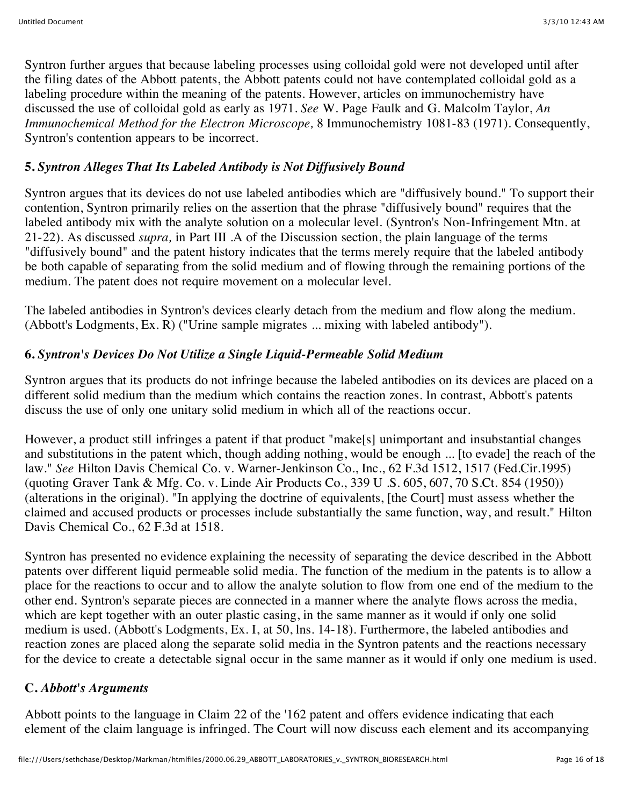Syntron further argues that because labeling processes using colloidal gold were not developed until after the filing dates of the Abbott patents, the Abbott patents could not have contemplated colloidal gold as a labeling procedure within the meaning of the patents. However, articles on immunochemistry have discussed the use of colloidal gold as early as 1971. *See* W. Page Faulk and G. Malcolm Taylor, *An Immunochemical Method for the Electron Microscope,* 8 Immunochemistry 1081-83 (1971). Consequently, Syntron's contention appears to be incorrect.

## **5.** *Syntron Alleges That Its Labeled Antibody is Not Diffusively Bound*

Syntron argues that its devices do not use labeled antibodies which are "diffusively bound." To support their contention, Syntron primarily relies on the assertion that the phrase "diffusively bound" requires that the labeled antibody mix with the analyte solution on a molecular level. (Syntron's Non-Infringement Mtn. at 21-22). As discussed *supra,* in Part III .A of the Discussion section, the plain language of the terms "diffusively bound" and the patent history indicates that the terms merely require that the labeled antibody be both capable of separating from the solid medium and of flowing through the remaining portions of the medium. The patent does not require movement on a molecular level.

The labeled antibodies in Syntron's devices clearly detach from the medium and flow along the medium. (Abbott's Lodgments, Ex. R) ("Urine sample migrates ... mixing with labeled antibody").

## **6.** *Syntron's Devices Do Not Utilize a Single Liquid-Permeable Solid Medium*

Syntron argues that its products do not infringe because the labeled antibodies on its devices are placed on a different solid medium than the medium which contains the reaction zones. In contrast, Abbott's patents discuss the use of only one unitary solid medium in which all of the reactions occur.

However, a product still infringes a patent if that product "make[s] unimportant and insubstantial changes and substitutions in the patent which, though adding nothing, would be enough ... [to evade] the reach of the law." *See* Hilton Davis Chemical Co. v. Warner-Jenkinson Co., Inc., 62 F.3d 1512, 1517 (Fed.Cir.1995) (quoting Graver Tank & Mfg. Co. v. Linde Air Products Co., 339 U .S. 605, 607, 70 S.Ct. 854 (1950)) (alterations in the original). "In applying the doctrine of equivalents, [the Court] must assess whether the claimed and accused products or processes include substantially the same function, way, and result." Hilton Davis Chemical Co., 62 F.3d at 1518.

Syntron has presented no evidence explaining the necessity of separating the device described in the Abbott patents over different liquid permeable solid media. The function of the medium in the patents is to allow a place for the reactions to occur and to allow the analyte solution to flow from one end of the medium to the other end. Syntron's separate pieces are connected in a manner where the analyte flows across the media, which are kept together with an outer plastic casing, in the same manner as it would if only one solid medium is used. (Abbott's Lodgments, Ex. I, at 50, lns. 14-18). Furthermore, the labeled antibodies and reaction zones are placed along the separate solid media in the Syntron patents and the reactions necessary for the device to create a detectable signal occur in the same manner as it would if only one medium is used.

### **C.** *Abbott's Arguments*

Abbott points to the language in Claim 22 of the '162 patent and offers evidence indicating that each element of the claim language is infringed. The Court will now discuss each element and its accompanying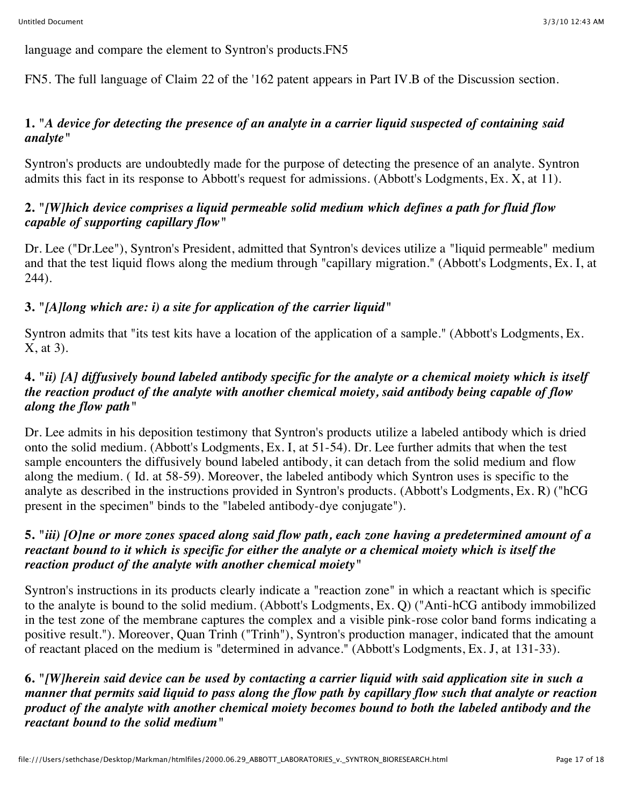language and compare the element to Syntron's products.FN5

FN5. The full language of Claim 22 of the '162 patent appears in Part IV.B of the Discussion section.

## **1.** *"A device for detecting the presence of an analyte in a carrier liquid suspected of containing said analyte"*

Syntron's products are undoubtedly made for the purpose of detecting the presence of an analyte. Syntron admits this fact in its response to Abbott's request for admissions. (Abbott's Lodgments, Ex. X, at 11).

## **2.** *"[W]hich device comprises a liquid permeable solid medium which defines a path for fluid flow capable of supporting capillary flow"*

Dr. Lee ("Dr.Lee"), Syntron's President, admitted that Syntron's devices utilize a "liquid permeable" medium and that the test liquid flows along the medium through "capillary migration." (Abbott's Lodgments, Ex. I, at 244).

# **3.** *"[A]long which are: i) a site for application of the carrier liquid"*

Syntron admits that "its test kits have a location of the application of a sample." (Abbott's Lodgments, Ex. X, at 3).

## **4.** *"ii) [A] diffusively bound labeled antibody specific for the analyte or a chemical moiety which is itself the reaction product of the analyte with another chemical moiety, said antibody being capable of flow along the flow path"*

Dr. Lee admits in his deposition testimony that Syntron's products utilize a labeled antibody which is dried onto the solid medium. (Abbott's Lodgments, Ex. I, at 51-54). Dr. Lee further admits that when the test sample encounters the diffusively bound labeled antibody, it can detach from the solid medium and flow along the medium. ( Id. at 58-59). Moreover, the labeled antibody which Syntron uses is specific to the analyte as described in the instructions provided in Syntron's products. (Abbott's Lodgments, Ex. R) ("hCG present in the specimen" binds to the "labeled antibody-dye conjugate").

### **5.** *"iii) [O]ne or more zones spaced along said flow path, each zone having a predetermined amount of a reactant bound to it which is specific for either the analyte or a chemical moiety which is itself the reaction product of the analyte with another chemical moiety"*

Syntron's instructions in its products clearly indicate a "reaction zone" in which a reactant which is specific to the analyte is bound to the solid medium. (Abbott's Lodgments, Ex. Q) ("Anti-hCG antibody immobilized in the test zone of the membrane captures the complex and a visible pink-rose color band forms indicating a positive result."). Moreover, Quan Trinh ("Trinh"), Syntron's production manager, indicated that the amount of reactant placed on the medium is "determined in advance." (Abbott's Lodgments, Ex. J, at 131-33).

**6.** *"[W]herein said device can be used by contacting a carrier liquid with said application site in such a manner that permits said liquid to pass along the flow path by capillary flow such that analyte or reaction product of the analyte with another chemical moiety becomes bound to both the labeled antibody and the reactant bound to the solid medium"*